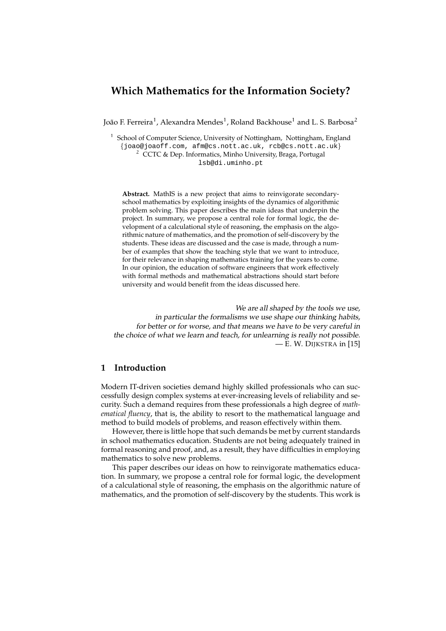# **Which Mathematics for the Information Society?**

João F. Ferreira<sup>1</sup>, Alexandra Mendes<sup>1</sup>, Roland Backhouse<sup>1</sup> and L. S. Barbosa<sup>2</sup>

<sup>1</sup> School of Computer Science, University of Nottingham, Nottingham, England {joao@joaoff.com, afm@cs.nott.ac.uk, rcb@cs.nott.ac.uk} <sup>2</sup> CCTC & Dep. Informatics, Minho University, Braga, Portugal lsb@di.uminho.pt

**Abstract.** MathIS is a new project that aims to reinvigorate secondaryschool mathematics by exploiting insights of the dynamics of algorithmic problem solving. This paper describes the main ideas that underpin the project. In summary, we propose a central role for formal logic, the development of a calculational style of reasoning, the emphasis on the algorithmic nature of mathematics, and the promotion of self-discovery by the students. These ideas are discussed and the case is made, through a number of examples that show the teaching style that we want to introduce, for their relevance in shaping mathematics training for the years to come. In our opinion, the education of software engineers that work effectively with formal methods and mathematical abstractions should start before university and would benefit from the ideas discussed here.

We are all shaped by the tools we use, in particular the formalisms we use shape our thinking habits, for better or for worse, and that means we have to be very careful in the choice of what we learn and teach, for unlearning is really not possible. — E. W. DIJKSTRA in [15]

# **1 Introduction**

Modern IT-driven societies demand highly skilled professionals who can successfully design complex systems at ever-increasing levels of reliability and security. Such a demand requires from these professionals a high degree of *mathematical fluency*, that is, the ability to resort to the mathematical language and method to build models of problems, and reason effectively within them.

However, there is little hope that such demands be met by current standards in school mathematics education. Students are not being adequately trained in formal reasoning and proof, and, as a result, they have difficulties in employing mathematics to solve new problems.

This paper describes our ideas on how to reinvigorate mathematics education. In summary, we propose a central role for formal logic, the development of a calculational style of reasoning, the emphasis on the algorithmic nature of mathematics, and the promotion of self-discovery by the students. This work is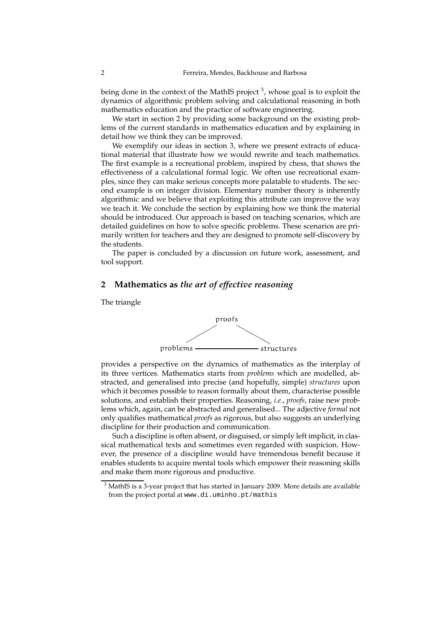being done in the context of the MathIS project<sup>3</sup>, whose goal is to exploit the dynamics of algorithmic problem solving and calculational reasoning in both mathematics education and the practice of software engineering.

We start in section 2 by providing some background on the existing problems of the current standards in mathematics education and by explaining in detail how we think they can be improved.

We exemplify our ideas in section 3, where we present extracts of educational material that illustrate how we would rewrite and teach mathematics. The first example is a recreational problem, inspired by chess, that shows the effectiveness of a calculational formal logic. We often use recreational examples, since they can make serious concepts more palatable to students. The second example is on integer division. Elementary number theory is inherently algorithmic and we believe that exploiting this attribute can improve the way we teach it. We conclude the section by explaining how we think the material should be introduced. Our approach is based on teaching scenarios, which are detailed guidelines on how to solve specific problems. These scenarios are primarily written for teachers and they are designed to promote self-discovery by the students.

The paper is concluded by a discussion on future work, assessment, and tool support.

# **2 Mathematics as** *the art of effective reasoning*

The triangle



provides a perspective on the dynamics of mathematics as the interplay of its three vertices. Mathematics starts from *problems* which are modelled, abstracted, and generalised into precise (and hopefully, simple) *structures* upon which it becomes possible to reason formally about them, characterise possible solutions, and establish their properties. Reasoning, *i.e.*, *proofs*, raise new problems which, again, can be abstracted and generalised... The adjective *formal* not only qualifies mathematical *proofs* as rigorous, but also suggests an underlying discipline for their production and communication.

Such a discipline is often absent, or disguised, or simply left implicit, in classical mathematical texts and sometimes even regarded with suspicion. However, the presence of a discipline would have tremendous benefit because it enables students to acquire mental tools which empower their reasoning skills and make them more rigorous and productive.

<sup>&</sup>lt;sup>3</sup> MathIS is a 3-year project that has started in January 2009. More details are available from the project portal at www.di.uminho.pt/mathis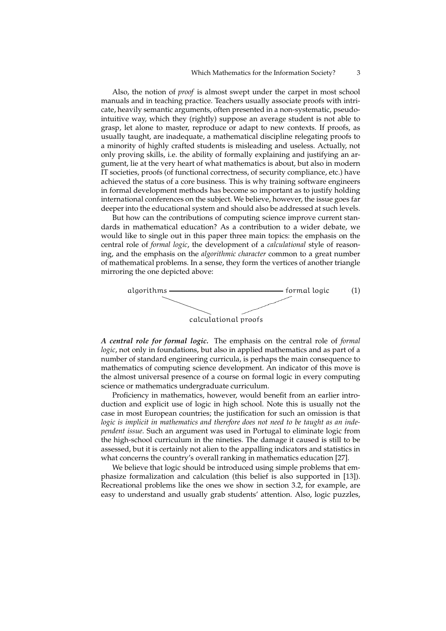Also, the notion of *proof* is almost swept under the carpet in most school manuals and in teaching practice. Teachers usually associate proofs with intricate, heavily semantic arguments, often presented in a non-systematic, pseudointuitive way, which they (rightly) suppose an average student is not able to grasp, let alone to master, reproduce or adapt to new contexts. If proofs, as usually taught, are inadequate, a mathematical discipline relegating proofs to a minority of highly crafted students is misleading and useless. Actually, not only proving skills, i.e. the ability of formally explaining and justifying an argument, lie at the very heart of what mathematics is about, but also in modern IT societies, proofs (of functional correctness, of security compliance, etc.) have achieved the status of a core business. This is why training software engineers in formal development methods has become so important as to justify holding international conferences on the subject. We believe, however, the issue goes far deeper into the educational system and should also be addressed at such levels.

But how can the contributions of computing science improve current standards in mathematical education? As a contribution to a wider debate, we would like to single out in this paper three main topics: the emphasis on the central role of *formal logic*, the development of a *calculational* style of reasoning, and the emphasis on the *algorithmic character* common to a great number of mathematical problems. In a sense, they form the vertices of another triangle mirroring the one depicted above:



*A central role for formal logic.* The emphasis on the central role of *formal logic*, not only in foundations, but also in applied mathematics and as part of a number of standard engineering curricula, is perhaps the main consequence to mathematics of computing science development. An indicator of this move is the almost universal presence of a course on formal logic in every computing science or mathematics undergraduate curriculum.

Proficiency in mathematics, however, would benefit from an earlier introduction and explicit use of logic in high school. Note this is usually not the case in most European countries; the justification for such an omission is that *logic is implicit in mathematics and therefore does not need to be taught as an independent issue*. Such an argument was used in Portugal to eliminate logic from the high-school curriculum in the nineties. The damage it caused is still to be assessed, but it is certainly not alien to the appalling indicators and statistics in what concerns the country's overall ranking in mathematics education [27].

We believe that logic should be introduced using simple problems that emphasize formalization and calculation (this belief is also supported in [13]). Recreational problems like the ones we show in section 3.2, for example, are easy to understand and usually grab students' attention. Also, logic puzzles,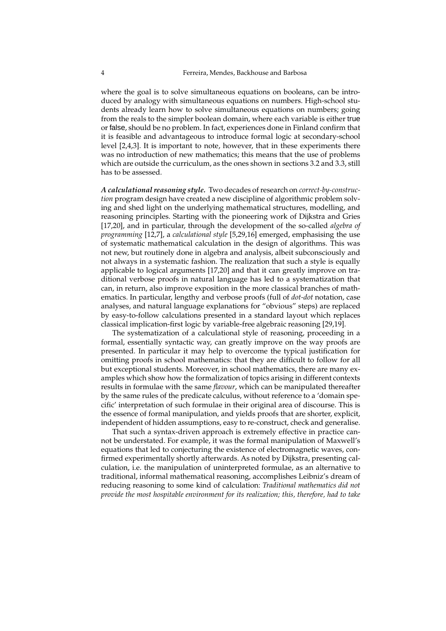where the goal is to solve simultaneous equations on booleans, can be introduced by analogy with simultaneous equations on numbers. High-school students already learn how to solve simultaneous equations on numbers; going from the reals to the simpler boolean domain, where each variable is either true or false, should be no problem. In fact, experiences done in Finland confirm that it is feasible and advantageous to introduce formal logic at secondary-school level [2,4,3]. It is important to note, however, that in these experiments there was no introduction of new mathematics; this means that the use of problems which are outside the curriculum, as the ones shown in sections 3.2 and 3.3, still has to be assessed.

*A calculational reasoning style.* Two decades of research on *correct-by-construction* program design have created a new discipline of algorithmic problem solving and shed light on the underlying mathematical structures, modelling, and reasoning principles. Starting with the pioneering work of Dijkstra and Gries [17,20], and in particular, through the development of the so-called *algebra of programming* [12,7], a *calculational style* [5,29,16] emerged, emphasising the use of systematic mathematical calculation in the design of algorithms. This was not new, but routinely done in algebra and analysis, albeit subconsciously and not always in a systematic fashion. The realization that such a style is equally applicable to logical arguments [17,20] and that it can greatly improve on traditional verbose proofs in natural language has led to a systematization that can, in return, also improve exposition in the more classical branches of mathematics. In particular, lengthy and verbose proofs (full of *dot-dot* notation, case analyses, and natural language explanations for "obvious" steps) are replaced by easy-to-follow calculations presented in a standard layout which replaces classical implication-first logic by variable-free algebraic reasoning [29,19].

The systematization of a calculational style of reasoning, proceeding in a formal, essentially syntactic way, can greatly improve on the way proofs are presented. In particular it may help to overcome the typical justification for omitting proofs in school mathematics: that they are difficult to follow for all but exceptional students. Moreover, in school mathematics, there are many examples which show how the formalization of topics arising in different contexts results in formulae with the same *flavour*, which can be manipulated thereafter by the same rules of the predicate calculus, without reference to a 'domain specific' interpretation of such formulae in their original area of discourse. This is the essence of formal manipulation, and yields proofs that are shorter, explicit, independent of hidden assumptions, easy to re-construct, check and generalise.

That such a syntax-driven approach is extremely effective in practice cannot be understated. For example, it was the formal manipulation of Maxwell's equations that led to conjecturing the existence of electromagnetic waves, confirmed experimentally shortly afterwards. As noted by Dijkstra, presenting calculation, i.e. the manipulation of uninterpreted formulae, as an alternative to traditional, informal mathematical reasoning, accomplishes Leibniz's dream of reducing reasoning to some kind of calculation: *Traditional mathematics did not provide the most hospitable environment for its realization; this, therefore, had to take*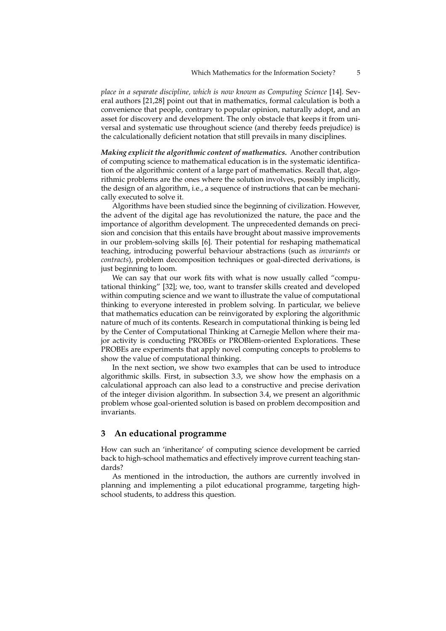*place in a separate discipline, which is now known as Computing Science* [14]. Several authors [21,28] point out that in mathematics, formal calculation is both a convenience that people, contrary to popular opinion, naturally adopt, and an asset for discovery and development. The only obstacle that keeps it from universal and systematic use throughout science (and thereby feeds prejudice) is the calculationally deficient notation that still prevails in many disciplines.

*Making explicit the algorithmic content of mathematics.* Another contribution of computing science to mathematical education is in the systematic identification of the algorithmic content of a large part of mathematics. Recall that, algorithmic problems are the ones where the solution involves, possibly implicitly, the design of an algorithm, i.e., a sequence of instructions that can be mechanically executed to solve it.

Algorithms have been studied since the beginning of civilization. However, the advent of the digital age has revolutionized the nature, the pace and the importance of algorithm development. The unprecedented demands on precision and concision that this entails have brought about massive improvements in our problem-solving skills [6]. Their potential for reshaping mathematical teaching, introducing powerful behaviour abstractions (such as *invariants* or *contracts*), problem decomposition techniques or goal-directed derivations, is just beginning to loom.

We can say that our work fits with what is now usually called "computational thinking" [32]; we, too, want to transfer skills created and developed within computing science and we want to illustrate the value of computational thinking to everyone interested in problem solving. In particular, we believe that mathematics education can be reinvigorated by exploring the algorithmic nature of much of its contents. Research in computational thinking is being led by the Center of Computational Thinking at Carnegie Mellon where their major activity is conducting PROBEs or PROBlem-oriented Explorations. These PROBEs are experiments that apply novel computing concepts to problems to show the value of computational thinking.

In the next section, we show two examples that can be used to introduce algorithmic skills. First, in subsection 3.3, we show how the emphasis on a calculational approach can also lead to a constructive and precise derivation of the integer division algorithm. In subsection 3.4, we present an algorithmic problem whose goal-oriented solution is based on problem decomposition and invariants.

# **3 An educational programme**

How can such an 'inheritance' of computing science development be carried back to high-school mathematics and effectively improve current teaching standards?

As mentioned in the introduction, the authors are currently involved in planning and implementing a pilot educational programme, targeting highschool students, to address this question.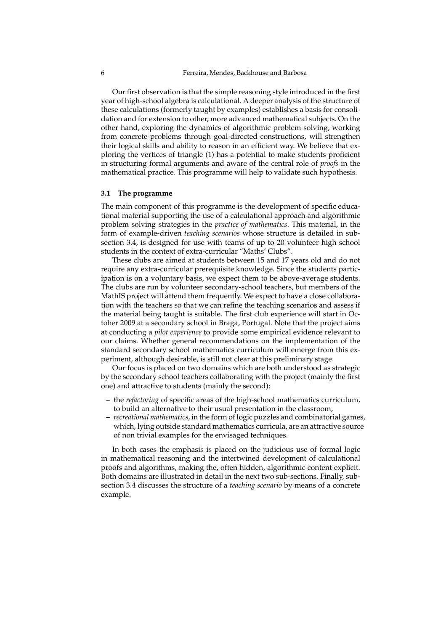Our first observation is that the simple reasoning style introduced in the first year of high-school algebra is calculational. A deeper analysis of the structure of these calculations (formerly taught by examples) establishes a basis for consolidation and for extension to other, more advanced mathematical subjects. On the other hand, exploring the dynamics of algorithmic problem solving, working from concrete problems through goal-directed constructions, will strengthen their logical skills and ability to reason in an efficient way. We believe that exploring the vertices of triangle (1) has a potential to make students proficient in structuring formal arguments and aware of the central role of *proofs* in the mathematical practice. This programme will help to validate such hypothesis.

### **3.1 The programme**

The main component of this programme is the development of specific educational material supporting the use of a calculational approach and algorithmic problem solving strategies in the *practice of mathematics*. This material, in the form of example-driven *teaching scenarios* whose structure is detailed in subsection 3.4, is designed for use with teams of up to 20 volunteer high school students in the context of extra-curricular "Maths' Clubs".

These clubs are aimed at students between 15 and 17 years old and do not require any extra-curricular prerequisite knowledge. Since the students participation is on a voluntary basis, we expect them to be above-average students. The clubs are run by volunteer secondary-school teachers, but members of the MathIS project will attend them frequently. We expect to have a close collaboration with the teachers so that we can refine the teaching scenarios and assess if the material being taught is suitable. The first club experience will start in October 2009 at a secondary school in Braga, Portugal. Note that the project aims at conducting a *pilot experience* to provide some empirical evidence relevant to our claims. Whether general recommendations on the implementation of the standard secondary school mathematics curriculum will emerge from this experiment, although desirable, is still not clear at this preliminary stage.

Our focus is placed on two domains which are both understood as strategic by the secondary school teachers collaborating with the project (mainly the first one) and attractive to students (mainly the second):

- **–** the *refactoring* of specific areas of the high-school mathematics curriculum, to build an alternative to their usual presentation in the classroom,
- **–** *recreational mathematics*, in the form of logic puzzles and combinatorial games, which, lying outside standard mathematics curricula, are an attractive source of non trivial examples for the envisaged techniques.

In both cases the emphasis is placed on the judicious use of formal logic in mathematical reasoning and the intertwined development of calculational proofs and algorithms, making the, often hidden, algorithmic content explicit. Both domains are illustrated in detail in the next two sub-sections. Finally, subsection 3.4 discusses the structure of a *teaching scenario* by means of a concrete example.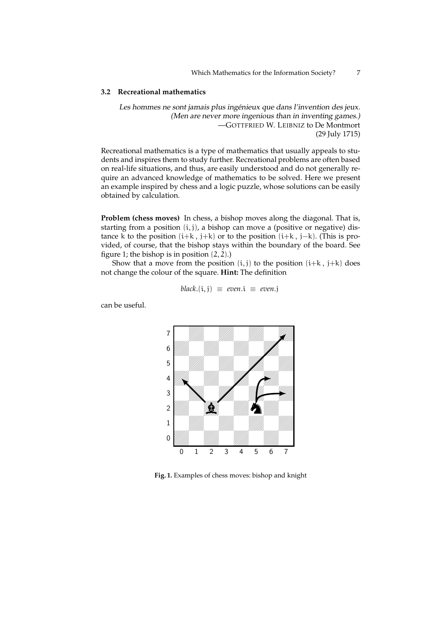#### **3.2 Recreational mathematics**

Les hommes ne sont jamais plus ingénieux que dans l'invention des jeux. (Men are never more ingenious than in inventing games.) —GOTTFRIED W. LEIBNIZ to De Montmort (29 July 1715)

Recreational mathematics is a type of mathematics that usually appeals to students and inspires them to study further. Recreational problems are often based on real-life situations, and thus, are easily understood and do not generally require an advanced knowledge of mathematics to be solved. Here we present an example inspired by chess and a logic puzzle, whose solutions can be easily obtained by calculation.

**Problem (chess moves)** In chess, a bishop moves along the diagonal. That is, starting from a position  $(i, j)$ , a bishop can move a (positive or negative) distance k to the position  $(i+k, j+k)$  or to the position  $(i+k, j-k)$ . (This is provided, of course, that the bishop stays within the boundary of the board. See figure 1; the bishop is in position  $(2, 2)$ .)

Show that a move from the position  $(i, j)$  to the position  $(i+k, j+k)$  does not change the colour of the square. **Hint:** The definition

$$
black.(i, j) \equiv even.i \equiv even.j
$$

can be useful.



**Fig. 1.** Examples of chess moves: bishop and knight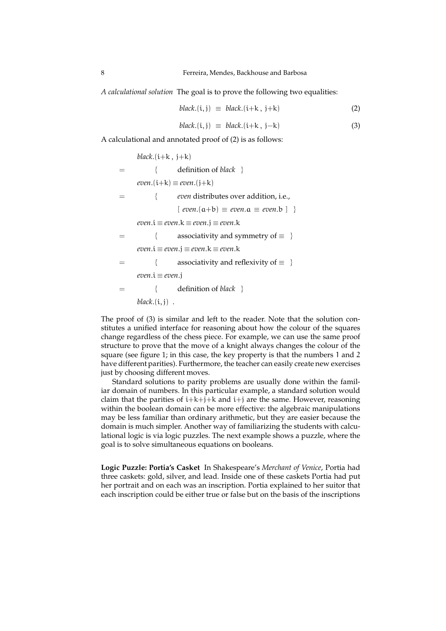*A calculational solution* The goal is to prove the following two equalities:

$$
black.(i, j) \equiv black.(i+k, j+k) \tag{2}
$$

$$
black.(i, j) \equiv black.(i+k, j-k) \tag{3}
$$

A calculational and annotated proof of (2) is as follows:

 $black.(i+k, j+k)$ = { definition of *black* }  $even.(i+k) \equiv even.(j+k)$ = { *even* distributes over addition, i.e.,  $[even.(a+b) \equiv even.a \equiv even.b]$ *even*.i ≡ *even*.k ≡ *even*.j ≡ *even*.k { associativity and symmetry of  $\equiv$  } *even*.i ≡ *even*.j ≡ *even*.k ≡ *even*.k { associativity and reflexivity of  $\equiv$  } *even*.i ≡ *even*.j = { definition of *black* } *black*.(i, j) .

The proof of (3) is similar and left to the reader. Note that the solution constitutes a unified interface for reasoning about how the colour of the squares change regardless of the chess piece. For example, we can use the same proof structure to prove that the move of a knight always changes the colour of the square (see figure 1; in this case, the key property is that the numbers 1 and 2 have different parities). Furthermore, the teacher can easily create new exercises just by choosing different moves.

Standard solutions to parity problems are usually done within the familiar domain of numbers. In this particular example, a standard solution would claim that the parities of  $i+k+j+k$  and  $i+j$  are the same. However, reasoning within the boolean domain can be more effective: the algebraic manipulations may be less familiar than ordinary arithmetic, but they are easier because the domain is much simpler. Another way of familiarizing the students with calculational logic is via logic puzzles. The next example shows a puzzle, where the goal is to solve simultaneous equations on booleans.

**Logic Puzzle: Portia's Casket** In Shakespeare's *Merchant of Venice*, Portia had three caskets: gold, silver, and lead. Inside one of these caskets Portia had put her portrait and on each was an inscription. Portia explained to her suitor that each inscription could be either true or false but on the basis of the inscriptions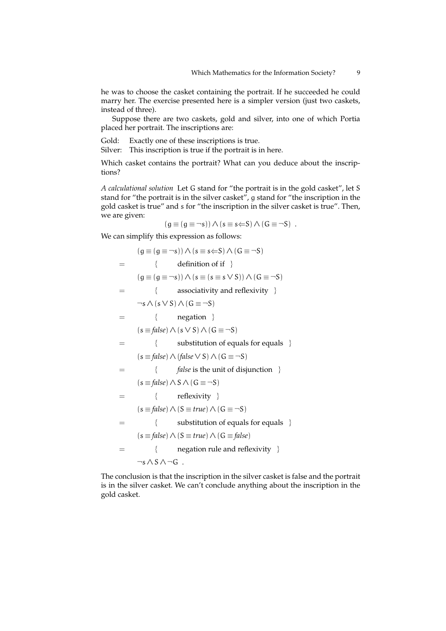he was to choose the casket containing the portrait. If he succeeded he could marry her. The exercise presented here is a simpler version (just two caskets, instead of three).

Suppose there are two caskets, gold and silver, into one of which Portia placed her portrait. The inscriptions are:

Gold: Exactly one of these inscriptions is true.

Silver: This inscription is true if the portrait is in here.

Which casket contains the portrait? What can you deduce about the inscriptions?

*A calculational solution* Let G stand for "the portrait is in the gold casket", let S stand for "the portrait is in the silver casket", g stand for "the inscription in the gold casket is true" and s for "the inscription in the silver casket is true". Then, we are given:

$$
(g \equiv (g \equiv \neg s)) \land (s \equiv s \Leftrightarrow S) \land (G \equiv \neg S) .
$$

We can simplify this expression as follows:

 $(g \equiv (g \equiv \neg s)) \wedge (s \equiv s \in S) \wedge (G \equiv \neg S)$  $=$  { definition of if }  $(g \equiv (g \equiv \neg s)) \wedge (s \equiv (s \equiv s \vee s)) \wedge (G \equiv \neg S)$  $=$  { associativity and reflexivity }  $\neg s \wedge (s \vee s) \wedge (G \equiv \neg S)$  $=$  { negation }  $(s \equiv false) \wedge (s \vee s) \wedge (G \equiv \neg S)$ = { substitution of equals for equals }  $(s \equiv false)$  ∧ (*false* ∨ S) ∧ ( $G \equiv \neg S$ ) { *false* is the unit of disjunction }  $(s \equiv false) \land S \land (G \equiv \neg S)$  $=$  { reflexivity }  $(s \equiv false) \wedge (S \equiv true) \wedge (G \equiv \neg S)$ = { substitution of equals for equals }  $(s \equiv false) \land (S \equiv true) \land (G \equiv false)$  $=$  { negation rule and reflexivity }  $\neg s \wedge S \wedge \neg G$ .

The conclusion is that the inscription in the silver casket is false and the portrait is in the silver casket. We can't conclude anything about the inscription in the gold casket.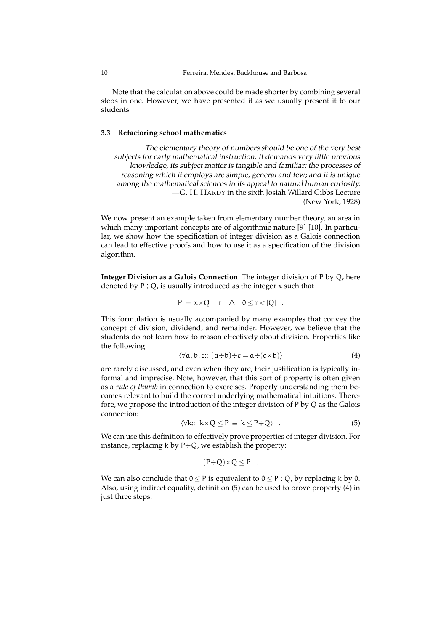Note that the calculation above could be made shorter by combining several steps in one. However, we have presented it as we usually present it to our students.

#### **3.3 Refactoring school mathematics**

The elementary theory of numbers should be one of the very best subjects for early mathematical instruction. It demands very little previous knowledge, its subject matter is tangible and familiar; the processes of reasoning which it employs are simple, general and few; and it is unique among the mathematical sciences in its appeal to natural human curiosity. —G. H. HARDY in the sixth Josiah Willard Gibbs Lecture (New York, 1928)

We now present an example taken from elementary number theory, an area in which many important concepts are of algorithmic nature [9] [10]. In particular, we show how the specification of integer division as a Galois connection can lead to effective proofs and how to use it as a specification of the division algorithm.

**Integer Division as a Galois Connection** The integer division of P by Q, here denoted by  $P \div Q$ , is usually introduced as the integer x such that

$$
P = x \times Q + r \quad \wedge \quad 0 \leq r < |Q| \quad .
$$

This formulation is usually accompanied by many examples that convey the concept of division, dividend, and remainder. However, we believe that the students do not learn how to reason effectively about division. Properties like the following

$$
\langle \forall a, b, c :: (a \div b) \div c = a \div (c \times b) \rangle \tag{4}
$$

are rarely discussed, and even when they are, their justification is typically informal and imprecise. Note, however, that this sort of property is often given as a *rule of thumb* in connection to exercises. Properly understanding them becomes relevant to build the correct underlying mathematical intuitions. Therefore, we propose the introduction of the integer division of P by Q as the Galois connection:

$$
\langle \forall k :: k \times Q \le P \equiv k \le P \div Q \rangle . \tag{5}
$$

We can use this definition to effectively prove properties of integer division. For instance, replacing k by  $P \div Q$ , we establish the property:

$$
(P \div Q) \times Q \leq P \quad .
$$

We can also conclude that  $0 \le P$  is equivalent to  $0 \le P \div Q$ , by replacing k by 0. Also, using indirect equality, definition (5) can be used to prove property (4) in just three steps: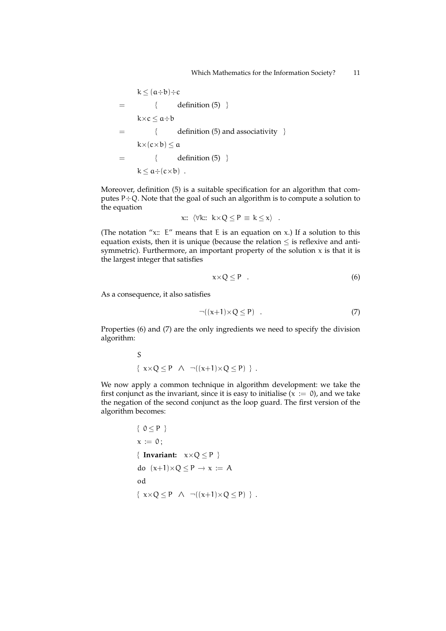$$
k \leq (a \div b) \div c
$$
\n
$$
= \{ \text{definition (5)} \}
$$
\n
$$
k \times c \leq a \div b
$$
\n
$$
= \{ \text{definition (5) and associativity } \}
$$
\n
$$
k \times (c \times b) \leq a
$$
\n
$$
= \{ \text{definition (5)} \}
$$
\n
$$
k \leq a \div (c \times b) .
$$

Moreover, definition (5) is a suitable specification for an algorithm that computes P÷Q. Note that the goal of such an algorithm is to compute a solution to the equation

$$
x :: \langle \forall k :: k \times Q \leq P \equiv k \leq x \rangle .
$$

(The notation " $x$ :: E" means that E is an equation on  $x$ .) If a solution to this equation exists, then it is unique (because the relation  $\leq$  is reflexive and antisymmetric). Furthermore, an important property of the solution  $x$  is that it is the largest integer that satisfies

$$
x \times Q \leq P \quad . \tag{6}
$$

As a consequence, it also satisfies

$$
\neg((x+1)\times Q \le P) \quad . \tag{7}
$$

Properties (6) and (7) are the only ingredients we need to specify the division algorithm:

$$
S
$$
  
{  $x \times Q \leq P$   $\wedge$   $\neg((x+1) \times Q \leq P)$  }.

We now apply a common technique in algorithm development: we take the first conjunct as the invariant, since it is easy to initialise ( $x := 0$ ), and we take the negation of the second conjunct as the loop guard. The first version of the algorithm becomes:

$$
\{ 0 \le P \}
$$
  
\n
$$
x := 0;
$$
  
\n{ **Invariant:**  $x \times Q \le P \}$   
\n
$$
do (x+1) \times Q \le P \rightarrow x := A
$$
  
\n
$$
d \{ x \times Q \le P \land \neg((x+1) \times Q \le P) \} .
$$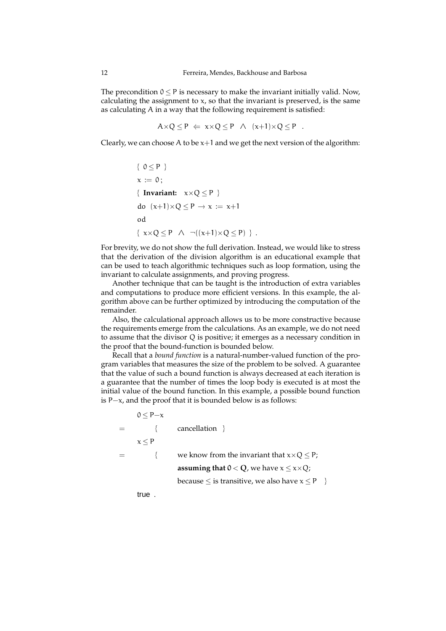The precondition  $0 \leq P$  is necessary to make the invariant initially valid. Now, calculating the assignment to  $x$ , so that the invariant is preserved, is the same as calculating A in a way that the following requirement is satisfied:

$$
A \times Q \leq P \iff x \times Q \leq P \ \wedge \ (x+1) \times Q \leq P \ .
$$

Clearly, we can choose A to be  $x+1$  and we get the next version of the algorithm:

 $\{0 < P\}$  $x := 0$ ; { **Invariant:**  $x \times Q \leq P$  } do  $(x+1) \times Q \leq P \rightarrow x := x+1$ od  $\{ x \times Q \leq P \land \neg((x+1) \times Q \leq P) \}$ .

For brevity, we do not show the full derivation. Instead, we would like to stress that the derivation of the division algorithm is an educational example that can be used to teach algorithmic techniques such as loop formation, using the invariant to calculate assignments, and proving progress.

Another technique that can be taught is the introduction of extra variables and computations to produce more efficient versions. In this example, the algorithm above can be further optimized by introducing the computation of the remainder.

Also, the calculational approach allows us to be more constructive because the requirements emerge from the calculations. As an example, we do not need to assume that the divisor Q is positive; it emerges as a necessary condition in the proof that the bound-function is bounded below.

Recall that a *bound function* is a natural-number-valued function of the program variables that measures the size of the problem to be solved. A guarantee that the value of such a bound function is always decreased at each iteration is a guarantee that the number of times the loop body is executed is at most the initial value of the bound function. In this example, a possible bound function is P−x, and the proof that it is bounded below is as follows:

 $0 < P - x$  $=$  { cancellation }  $x < P$  $=$  { we know from the invariant that  $x \times Q \leq P$ ; **assuming that**  $0 < Q$ , we have  $x \le x \times Q$ ; because  $\leq$  is transitive, we also have  $x \leq P$  }

true .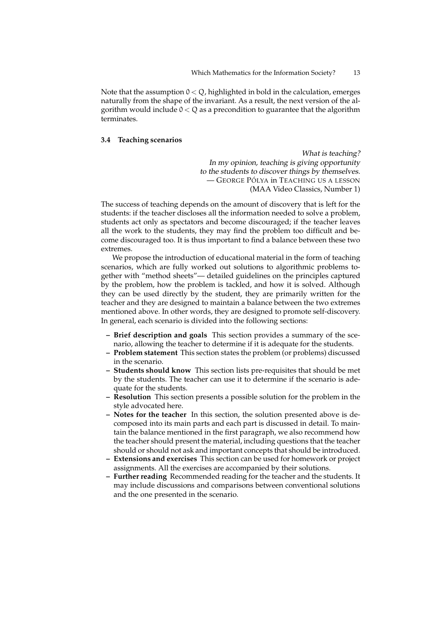Note that the assumption  $0 < Q$ , highlighted in bold in the calculation, emerges naturally from the shape of the invariant. As a result, the next version of the algorithm would include  $0 < Q$  as a precondition to guarantee that the algorithm terminates.

### **3.4 Teaching scenarios**

What is teaching? In my opinion, teaching is giving opportunity to the students to discover things by themselves. — GEORGE PÓLYA in TEACHING US A LESSON (MAA Video Classics, Number 1)

The success of teaching depends on the amount of discovery that is left for the students: if the teacher discloses all the information needed to solve a problem, students act only as spectators and become discouraged; if the teacher leaves all the work to the students, they may find the problem too difficult and become discouraged too. It is thus important to find a balance between these two extremes.

We propose the introduction of educational material in the form of teaching scenarios, which are fully worked out solutions to algorithmic problems together with "method sheets"— detailed guidelines on the principles captured by the problem, how the problem is tackled, and how it is solved. Although they can be used directly by the student, they are primarily written for the teacher and they are designed to maintain a balance between the two extremes mentioned above. In other words, they are designed to promote self-discovery. In general, each scenario is divided into the following sections:

- **Brief description and goals** This section provides a summary of the scenario, allowing the teacher to determine if it is adequate for the students.
- **Problem statement** This section states the problem (or problems) discussed in the scenario.
- **Students should know** This section lists pre-requisites that should be met by the students. The teacher can use it to determine if the scenario is adequate for the students.
- **Resolution** This section presents a possible solution for the problem in the style advocated here.
- **Notes for the teacher** In this section, the solution presented above is decomposed into its main parts and each part is discussed in detail. To maintain the balance mentioned in the first paragraph, we also recommend how the teacher should present the material, including questions that the teacher should or should not ask and important concepts that should be introduced.
- **Extensions and exercises** This section can be used for homework or project assignments. All the exercises are accompanied by their solutions.
- **Further reading** Recommended reading for the teacher and the students. It may include discussions and comparisons between conventional solutions and the one presented in the scenario.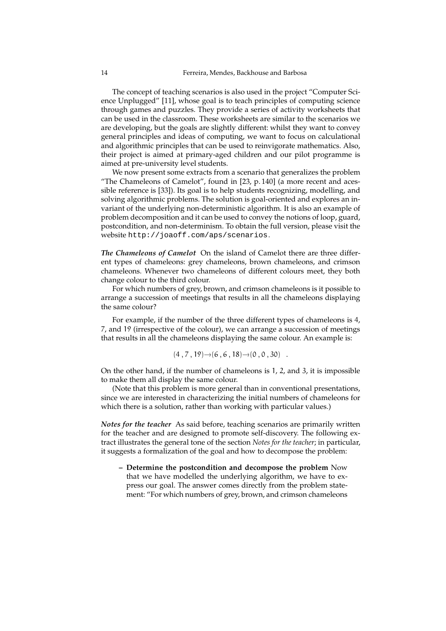The concept of teaching scenarios is also used in the project "Computer Science Unplugged" [11], whose goal is to teach principles of computing science through games and puzzles. They provide a series of activity worksheets that can be used in the classroom. These worksheets are similar to the scenarios we are developing, but the goals are slightly different: whilst they want to convey general principles and ideas of computing, we want to focus on calculational and algorithmic principles that can be used to reinvigorate mathematics. Also, their project is aimed at primary-aged children and our pilot programme is aimed at pre-university level students.

We now present some extracts from a scenario that generalizes the problem "The Chameleons of Camelot", found in [23, p. 140] (a more recent and acessible reference is [33]). Its goal is to help students recognizing, modelling, and solving algorithmic problems. The solution is goal-oriented and explores an invariant of the underlying non-deterministic algorithm. It is also an example of problem decomposition and it can be used to convey the notions of loop, guard, postcondition, and non-determinism. To obtain the full version, please visit the website http://joaoff.com/aps/scenarios.

*The Chameleons of Camelot* On the island of Camelot there are three different types of chameleons: grey chameleons, brown chameleons, and crimson chameleons. Whenever two chameleons of different colours meet, they both change colour to the third colour.

For which numbers of grey, brown, and crimson chameleons is it possible to arrange a succession of meetings that results in all the chameleons displaying the same colour?

For example, if the number of the three different types of chameleons is 4, 7, and 19 (irrespective of the colour), we can arrange a succession of meetings that results in all the chameleons displaying the same colour. An example is:

$$
(4, 7, 19) \rightarrow (6, 6, 18) \rightarrow (0, 0, 30) .
$$

On the other hand, if the number of chameleons is 1, 2, and 3, it is impossible to make them all display the same colour.

(Note that this problem is more general than in conventional presentations, since we are interested in characterizing the initial numbers of chameleons for which there is a solution, rather than working with particular values.)

*Notes for the teacher* As said before, teaching scenarios are primarily written for the teacher and are designed to promote self-discovery. The following extract illustrates the general tone of the section *Notes for the teacher*; in particular, it suggests a formalization of the goal and how to decompose the problem:

**– Determine the postcondition and decompose the problem** Now that we have modelled the underlying algorithm, we have to express our goal. The answer comes directly from the problem statement: "For which numbers of grey, brown, and crimson chameleons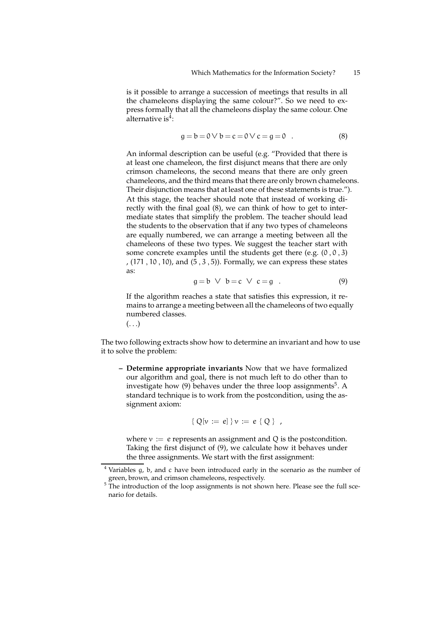is it possible to arrange a succession of meetings that results in all the chameleons displaying the same colour?". So we need to express formally that all the chameleons display the same colour. One alternative is<sup>4</sup>:

$$
g = b = 0 \lor b = c = 0 \lor c = g = 0 . \tag{8}
$$

An informal description can be useful (e.g. "Provided that there is at least one chameleon, the first disjunct means that there are only crimson chameleons, the second means that there are only green chameleons, and the third means that there are only brown chameleons. Their disjunction means that at least one of these statements is true."). At this stage, the teacher should note that instead of working directly with the final goal (8), we can think of how to get to intermediate states that simplify the problem. The teacher should lead the students to the observation that if any two types of chameleons are equally numbered, we can arrange a meeting between all the chameleons of these two types. We suggest the teacher start with some concrete examples until the students get there (e.g.  $(0, 0, 3)$ ) , (171, 10, 10), and  $(\bar{5}, 3, 5)$ ). Formally, we can express these states as:

$$
g = b \quad \lor \quad b = c \quad \lor \quad c = g \quad . \tag{9}
$$

If the algorithm reaches a state that satisfies this expression, it remains to arrange a meeting between all the chameleons of two equally numbered classes.  $( \ldots )$ 

The two following extracts show how to determine an invariant and how to use it to solve the problem:

**– Determine appropriate invariants** Now that we have formalized our algorithm and goal, there is not much left to do other than to investigate how (9) behaves under the three loop assignments<sup>5</sup>. A standard technique is to work from the postcondition, using the assignment axiom:

$$
\{\,Q[v := e]\,\}v := e\,\{\,Q\,\}\;\;,\;\;
$$

where  $v := e$  represents an assignment and Q is the postcondition. Taking the first disjunct of (9), we calculate how it behaves under the three assignments. We start with the first assignment:

 $4$  Variables g, b, and c have been introduced early in the scenario as the number of green, brown, and crimson chameleons, respectively.

<sup>&</sup>lt;sup>5</sup> The introduction of the loop assignments is not shown here. Please see the full scenario for details.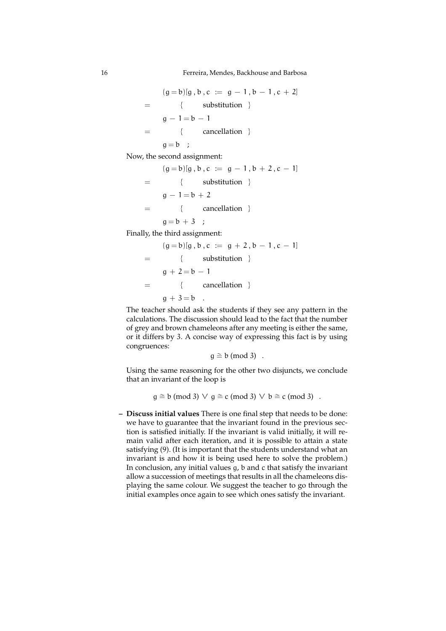16 Ferreira, Mendes, Backhouse and Barbosa

$$
(g = b)[g, b, c := g - 1, b - 1, c + 2]
$$
  
= { substitution }  

$$
g - 1 = b - 1
$$
  
= { cancellation }  

$$
g = b ;
$$
  
Now, the second assignment:  

$$
(g = b)[g, b, c := g - 1, b + 2, c - 1]
$$
  
= { substitution }  

$$
g - 1 = b + 2
$$

{ cancellation }

 $q = b + 3$ ;

Finally, the third assignment:

 $(g = b)[g, b, c := g + 2, b - 1, c - 1]$  $=$  { substitution }  $g + 2 = b - 1$  $=$  { cancellation }  $q + 3 = b$ .

The teacher should ask the students if they see any pattern in the calculations. The discussion should lead to the fact that the number of grey and brown chameleons after any meeting is either the same, or it differs by 3. A concise way of expressing this fact is by using congruences:

$$
g\cong b\ (mod\ 3)\ .
$$

Using the same reasoning for the other two disjuncts, we conclude that an invariant of the loop is

$$
g \cong b \pmod{3} \vee g \cong c \pmod{3} \vee b \cong c \pmod{3} .
$$

**– Discuss initial values** There is one final step that needs to be done: we have to guarantee that the invariant found in the previous section is satisfied initially. If the invariant is valid initially, it will remain valid after each iteration, and it is possible to attain a state satisfying (9). (It is important that the students understand what an invariant is and how it is being used here to solve the problem.) In conclusion, any initial values g, b and c that satisfy the invariant allow a succession of meetings that results in all the chameleons displaying the same colour. We suggest the teacher to go through the initial examples once again to see which ones satisfy the invariant.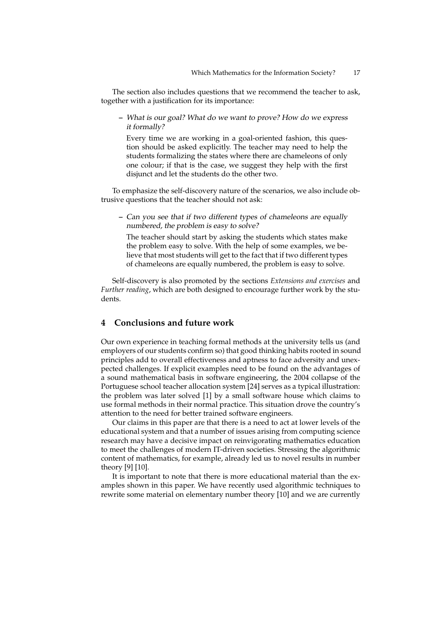The section also includes questions that we recommend the teacher to ask, together with a justification for its importance:

**–** What is our goal? What do we want to prove? How do we express it formally?

Every time we are working in a goal-oriented fashion, this question should be asked explicitly. The teacher may need to help the students formalizing the states where there are chameleons of only one colour; if that is the case, we suggest they help with the first disjunct and let the students do the other two.

To emphasize the self-discovery nature of the scenarios, we also include obtrusive questions that the teacher should not ask:

**–** Can you see that if two different types of chameleons are equally numbered, the problem is easy to solve?

The teacher should start by asking the students which states make the problem easy to solve. With the help of some examples, we believe that most students will get to the fact that if two different types of chameleons are equally numbered, the problem is easy to solve.

Self-discovery is also promoted by the sections *Extensions and exercises* and *Further reading*, which are both designed to encourage further work by the students.

# **4 Conclusions and future work**

Our own experience in teaching formal methods at the university tells us (and employers of our students confirm so) that good thinking habits rooted in sound principles add to overall effectiveness and aptness to face adversity and unexpected challenges. If explicit examples need to be found on the advantages of a sound mathematical basis in software engineering, the 2004 collapse of the Portuguese school teacher allocation system [24] serves as a typical illustration: the problem was later solved [1] by a small software house which claims to use formal methods in their normal practice. This situation drove the country's attention to the need for better trained software engineers.

Our claims in this paper are that there is a need to act at lower levels of the educational system and that a number of issues arising from computing science research may have a decisive impact on reinvigorating mathematics education to meet the challenges of modern IT-driven societies. Stressing the algorithmic content of mathematics, for example, already led us to novel results in number theory [9] [10].

It is important to note that there is more educational material than the examples shown in this paper. We have recently used algorithmic techniques to rewrite some material on elementary number theory [10] and we are currently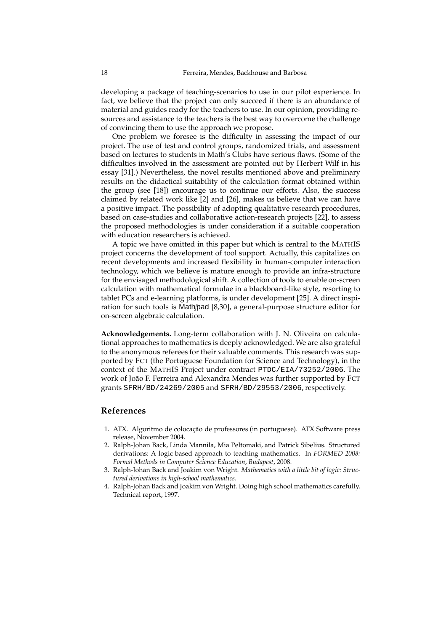developing a package of teaching-scenarios to use in our pilot experience. In fact, we believe that the project can only succeed if there is an abundance of material and guides ready for the teachers to use. In our opinion, providing resources and assistance to the teachers is the best way to overcome the challenge of convincing them to use the approach we propose.

One problem we foresee is the difficulty in assessing the impact of our project. The use of test and control groups, randomized trials, and assessment based on lectures to students in Math's Clubs have serious flaws. (Some of the difficulties involved in the assessment are pointed out by Herbert Wilf in his essay [31].) Nevertheless, the novel results mentioned above and preliminary results on the didactical suitability of the calculation format obtained within the group (see [18]) encourage us to continue our efforts. Also, the success claimed by related work like [2] and [26], makes us believe that we can have a positive impact. The possibility of adopting qualitative research procedures, based on case-studies and collaborative action-research projects [22], to assess the proposed methodologies is under consideration if a suitable cooperation with education researchers is achieved.

A topic we have omitted in this paper but which is central to the MATHIS project concerns the development of tool support. Actually, this capitalizes on recent developments and increased flexibility in human-computer interaction technology, which we believe is mature enough to provide an infra-structure for the envisaged methodological shift. A collection of tools to enable on-screen calculation with mathematical formulae in a blackboard-like style, resorting to tablet PCs and e-learning platforms, is under development [25]. A direct inspiration for such tools is Math∫pad [8,30], a general-purpose structure editor for on-screen algebraic calculation.

**Acknowledgements.** Long-term collaboration with J. N. Oliveira on calculational approaches to mathematics is deeply acknowledged. We are also grateful to the anonymous referees for their valuable comments. This research was supported by FCT (the Portuguese Foundation for Science and Technology), in the context of the MATHIS Project under contract PTDC/EIA/73252/2006. The work of João F. Ferreira and Alexandra Mendes was further supported by FCT grants SFRH/BD/24269/2005 and SFRH/BD/29553/2006, respectively.

## **References**

- 1. ATX. Algoritmo de colocação de professores (in portuguese). ATX Software press release, November 2004.
- 2. Ralph-Johan Back, Linda Mannila, Mia Peltomaki, and Patrick Sibelius. Structured derivations: A logic based approach to teaching mathematics. In *FORMED 2008: Formal Methods in Computer Science Education, Budapest*, 2008.
- 3. Ralph-Johan Back and Joakim von Wright. *Mathematics with a little bit of logic: Structured derivations in high-school mathematics*.
- 4. Ralph-Johan Back and Joakim von Wright. Doing high school mathematics carefully. Technical report, 1997.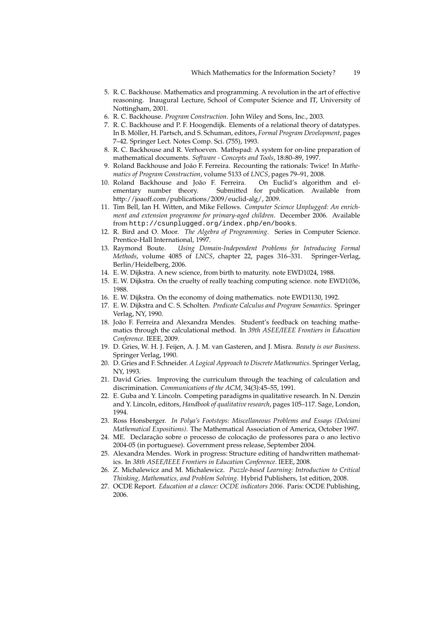- 5. R. C. Backhouse. Mathematics and programming. A revolution in the art of effective reasoning. Inaugural Lecture, School of Computer Science and IT, University of Nottingham, 2001.
- 6. R. C. Backhouse. *Program Construction*. John Wiley and Sons, Inc., 2003.
- 7. R. C. Backhouse and P. F. Hoogendijk. Elements of a relational theory of datatypes. In B. Möller, H. Partsch, and S. Schuman, editors, *Formal Program Development*, pages 7–42. Springer Lect. Notes Comp. Sci. (755), 1993.
- 8. R. C. Backhouse and R. Verhoeven. Mathspad: A system for on-line preparation of mathematical documents. *Software - Concepts and Tools*, 18:80–89, 1997.
- 9. Roland Backhouse and João F. Ferreira. Recounting the rationals: Twice! In *Mathematics of Program Construction*, volume 5133 of *LNCS*, pages 79–91, 2008.
- 10. Roland Backhouse and João F. Ferreira. On Euclid's algorithm and elementary number theory. Submitted for publication. Available from http://joaoff.com/publications/2009/euclid-alg/, 2009.
- 11. Tim Bell, Ian H. Witten, and Mike Fellows. *Computer Science Unplugged: An enrichment and extension programme for primary-aged children*. December 2006. Available from http://csunplugged.org/index.php/en/books.
- 12. R. Bird and O. Moor. *The Algebra of Programming*. Series in Computer Science. Prentice-Hall International, 1997.
- 13. Raymond Boute. *Using Domain-Independent Problems for Introducing Formal Methods*, volume 4085 of *LNCS*, chapter 22, pages 316–331. Springer-Verlag, Berlin/Heidelberg, 2006.
- 14. E. W. Dijkstra. A new science, from birth to maturity. note EWD1024, 1988.
- 15. E. W. Dijkstra. On the cruelty of really teaching computing science. note EWD1036, 1988.
- 16. E. W. Dijkstra. On the economy of doing mathematics. note EWD1130, 1992.
- 17. E. W. Dijkstra and C. S. Scholten. *Predicate Calculus and Program Semantics*. Springer Verlag, NY, 1990.
- 18. João F. Ferreira and Alexandra Mendes. Student's feedback on teaching mathematics through the calculational method. In *39th ASEE/IEEE Frontiers in Education Conference*. IEEE, 2009.
- 19. D. Gries, W. H. J. Feijen, A. J. M. van Gasteren, and J. Misra. *Beauty is our Business*. Springer Verlag, 1990.
- 20. D. Gries and F. Schneider. *A Logical Approach to Discrete Mathematics*. Springer Verlag, NY, 1993.
- 21. David Gries. Improving the curriculum through the teaching of calculation and discrimination. *Communications of the ACM*, 34(3):45–55, 1991.
- 22. E. Guba and Y. Lincoln. Competing paradigms in qualitative research. In N. Denzin and Y. Lincoln, editors, *Handbook of qualitative research*, pages 105–117. Sage, London, 1994.
- 23. Ross Honsberger. *In Polya's Footsteps: Miscellaneous Problems and Essays (Dolciani Mathematical Expositions)*. The Mathematical Association of America, October 1997.
- 24. ME. Declaração sobre o processo de colocação de professores para o ano lectivo 2004-05 (in portuguese). Government press release, September 2004.
- 25. Alexandra Mendes. Work in progress: Structure editing of handwritten mathematics. In *38th ASEE/IEEE Frontiers in Education Conference*. IEEE, 2008.
- 26. Z. Michalewicz and M. Michalewicz. *Puzzle-based Learning: Introduction to Critical Thinking, Mathematics, and Problem Solving*. Hybrid Publishers, 1st edition, 2008.
- 27. OCDE Report. *Education at a clance: OCDE indicators 2006*. Paris: OCDE Publishing, 2006.